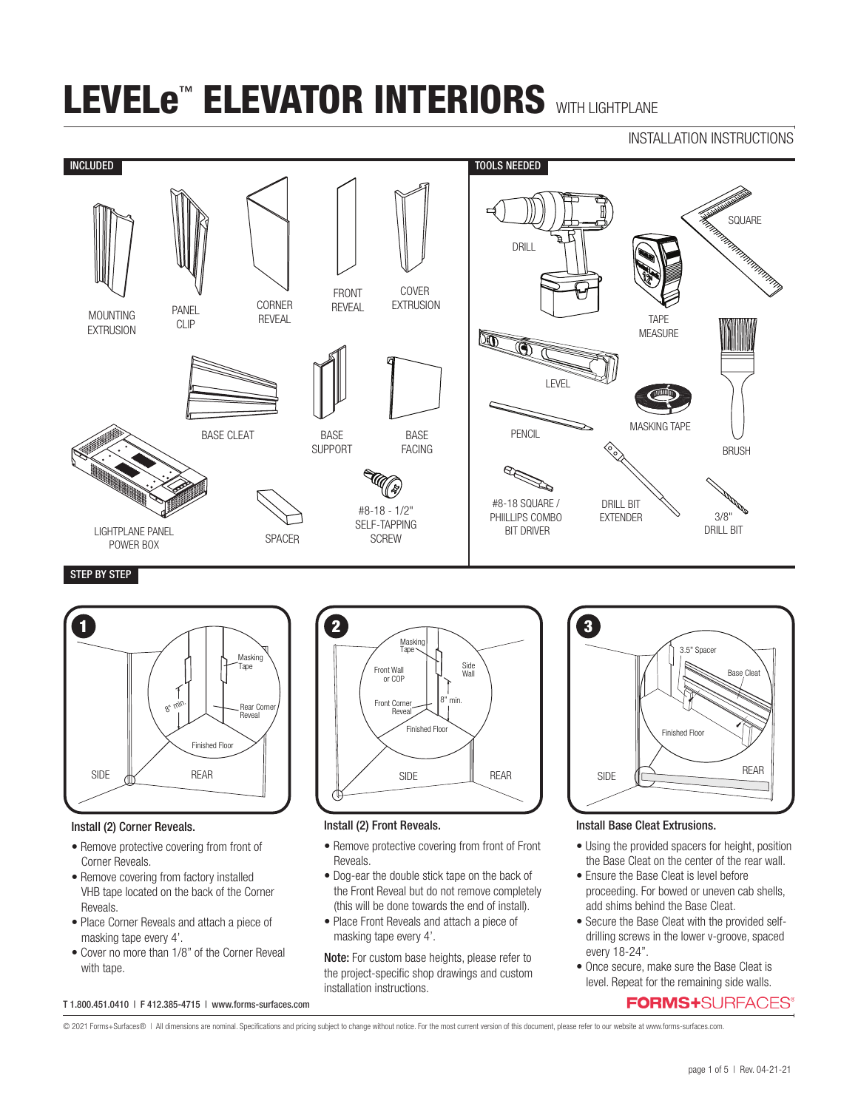## INSTALLATION INSTRUCTIONS



## STEP BY STEP



#### Install (2) Corner Reveals.

- Remove protective covering from front of Corner Reveals.
- Remove covering from factory installed VHB tape located on the back of the Corner Reveals.
- Place Corner Reveals and attach a piece of masking tape every 4'.
- Cover no more than 1/8" of the Corner Reveal with tape.



#### Install (2) Front Reveals.

- Remove protective covering from front of Front Reveals.
- Dog-ear the double stick tape on the back of the Front Reveal but do not remove completely (this will be done towards the end of install).
- Place Front Reveals and attach a piece of masking tape every 4'.

Note: For custom base heights, please refer to the project-specific shop drawings and custom installation instructions.



## Install Base Cleat Extrusions.

- Using the provided spacers for height, position the Base Cleat on the center of the rear wall.
- Ensure the Base Cleat is level before proceeding. For bowed or uneven cab shells, add shims behind the Base Cleat.
- Secure the Base Cleat with the provided selfdrilling screws in the lower v-groove, spaced every 18-24".
- Once secure, make sure the Base Cleat is level. Repeat for the remaining side walls.

## **FORMS+**SURFACES®

T 1.800.451.0410 | F 412.385-4715 | www.forms-surfaces.com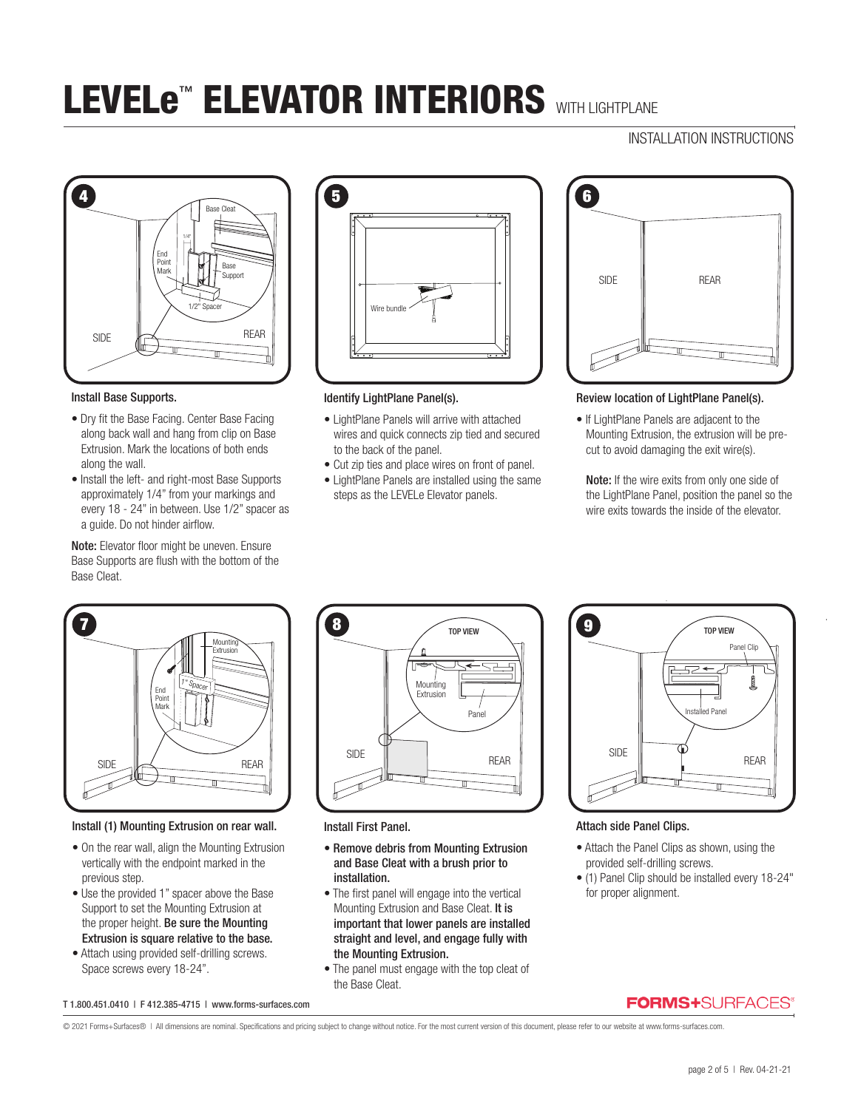# INSTALLATION INSTRUCTIONS



#### Install Base Supports.

- Dry fit the Base Facing. Center Base Facing along back wall and hang from clip on Base Extrusion. Mark the locations of both ends along the wall.
- Install the left- and right-most Base Supports approximately 1/4" from your markings and every 18 - 24" in between. Use 1/2" spacer as a guide. Do not hinder airflow.

Note: Elevator floor might be uneven. Ensure Base Supports are flush with the bottom of the Base Cleat.



### Identify LightPlane Panel(s).

- LightPlane Panels will arrive with attached wires and quick connects zip tied and secured to the back of the panel.
- Cut zip ties and place wires on front of panel.
- LightPlane Panels are installed using the same steps as the LEVELe Elevator panels.



### Review location of LightPlane Panel(s).

• If LightPlane Panels are adjacent to the Mounting Extrusion, the extrusion will be precut to avoid damaging the exit wire(s).

Note: If the wire exits from only one side of the LightPlane Panel, position the panel so the wire exits towards the inside of the elevator.



### Install (1) Mounting Extrusion on rear wall.

- On the rear wall, align the Mounting Extrusion vertically with the endpoint marked in the previous step.
- Use the provided 1" spacer above the Base Support to set the Mounting Extrusion at the proper height. Be sure the Mounting Extrusion is square relative to the base.
- Attach using provided self-drilling screws. Space screws every 18-24".



Install First Panel.

- Remove debris from Mounting Extrusion and Base Cleat with a brush prior to installation.
- The first panel will engage into the vertical Mounting Extrusion and Base Cleat. It is important that lower panels are installed straight and level, and engage fully with the Mounting Extrusion.
- The panel must engage with the top cleat of the Base Cleat.



### Attach side Panel Clips.

- Attach the Panel Clips as shown, using the provided self-drilling screws.
- (1) Panel Clip should be installed every 18-24" for proper alignment.

#### T 1.800.451.0410 | F 412.385-4715 | www.forms-surfaces.com

## **FORMS+**SURFACES®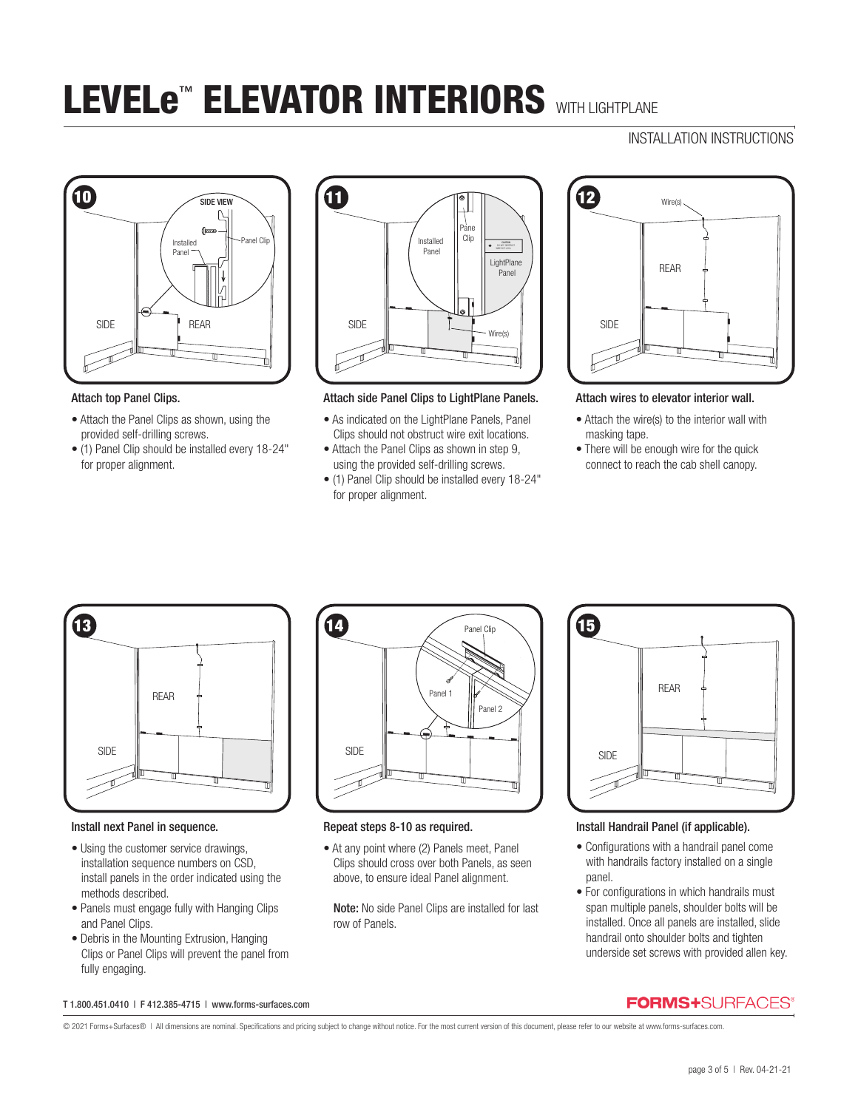# INSTALLATION INSTRUCTIONS



#### Attach top Panel Clips.

- Attach the Panel Clips as shown, using the provided self-drilling screws.
- (1) Panel Clip should be installed every 18-24" for proper alignment.



### Attach side Panel Clips to LightPlane Panels.

- As indicated on the LightPlane Panels, Panel Clips should not obstruct wire exit locations.
- Attach the Panel Clips as shown in step 9, using the provided self-drilling screws.
- (1) Panel Clip should be installed every 18-24" for proper alignment.



#### Attach wires to elevator interior wall.

- Attach the wire(s) to the interior wall with masking tape.
- There will be enough wire for the quick connect to reach the cab shell canopy.



### Install next Panel in sequence.

- Using the customer service drawings, installation sequence numbers on CSD, install panels in the order indicated using the methods described.
- Panels must engage fully with Hanging Clips and Panel Clips.
- Debris in the Mounting Extrusion, Hanging Clips or Panel Clips will prevent the panel from fully engaging.



### Repeat steps 8-10 as required.

• At any point where (2) Panels meet, Panel Clips should cross over both Panels, as seen above, to ensure ideal Panel alignment.

Note: No side Panel Clips are installed for last row of Panels.



## Install Handrail Panel (if applicable).

- Configurations with a handrail panel come with handrails factory installed on a single panel.
- For configurations in which handrails must span multiple panels, shoulder bolts will be installed. Once all panels are installed, slide handrail onto shoulder bolts and tighten underside set screws with provided allen key.

#### T 1.800.451.0410 | F 412.385-4715 | www.forms-surfaces.com

© 2021 Forms+Surfaces® | All dimensions are nominal. Specifications and pricing subject to change without notice. For the most current version of this document, please refer to our website at www.forms-surfaces.com.

**FORMS+**SURFACES®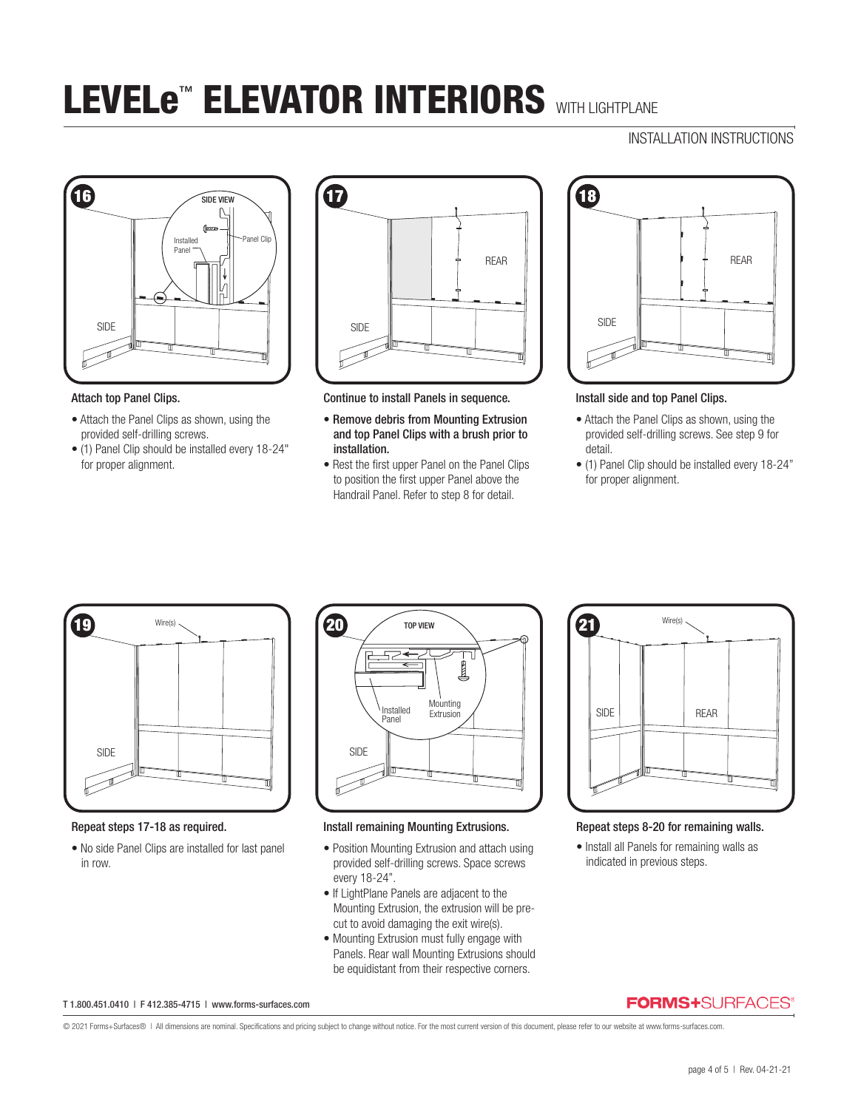## INSTALLATION INSTRUCTIONS



#### Attach top Panel Clips.

- Attach the Panel Clips as shown, using the provided self-drilling screws.
- (1) Panel Clip should be installed every 18-24" for proper alignment.



Continue to install Panels in sequence.

- Remove debris from Mounting Extrusion and top Panel Clips with a brush prior to installation.
- Rest the first upper Panel on the Panel Clips to position the first upper Panel above the Handrail Panel. Refer to step 8 for detail.



Install side and top Panel Clips.

- Attach the Panel Clips as shown, using the provided self-drilling screws. See step 9 for detail.
- (1) Panel Clip should be installed every 18-24" for proper alignment.



Repeat steps 17-18 as required.

• No side Panel Clips are installed for last panel in row.



Install remaining Mounting Extrusions.

- Position Mounting Extrusion and attach using provided self-drilling screws. Space screws every 18-24".
- If LightPlane Panels are adjacent to the Mounting Extrusion, the extrusion will be precut to avoid damaging the exit wire(s).
- Mounting Extrusion must fully engage with Panels. Rear wall Mounting Extrusions should be equidistant from their respective corners.



Repeat steps 8-20 for remaining walls.

• Install all Panels for remaining walls as indicated in previous steps.

#### T 1.800.451.0410 | F 412.385-4715 | www.forms-surfaces.com

**FORMS+**SURFACES®